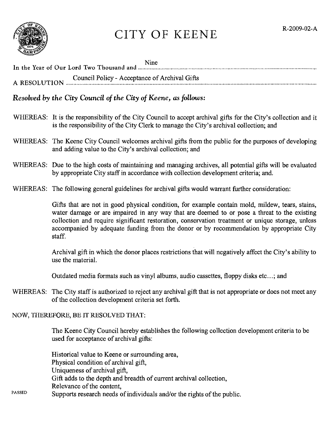

## CITY OF KEENE R-2009-02-A

| Nine<br>In the Year of Our Lord Two Thousand and measurement content to the Year of Our Lord Two Thousand and measurement content content content of the Year of Our Lord Two Thousand and measurement content content content of the |
|---------------------------------------------------------------------------------------------------------------------------------------------------------------------------------------------------------------------------------------|
| Council Policy - Acceptance of Archival Gifts<br>A RESOLUTION <i>COMPANY - ACCEPTANCE OF ALCHEVAL</i> CHILE                                                                                                                           |

## *Resolved by the City Council of the City of Keene, as follows:*

- WHEREAS: It is the responsibility of the City Council to accept archival gifts for the City's collection and it is the responsibility of the City Clerk to manage the City's archival collection; and
- WHEREAS: The Keene City Council welcomes archival gifts from the public for the purposes of developing and adding value to the City's archival collection; and
- WHEREAS: Due to the high costs of maintaining and managing archives, all potential gifts will be evaluated by appropriate City staff in accordance with collection development criteria; and.
- WHEREAS: The following general guidelines for archival gifts would warrant further consideration:

Gifts that are not in good physical condition, for example contain mold, mildew, tears, stains, water damage or are impaired in any way that are deemed to or pose a threat to the existing collection and require significant restoration, conservation treatment or unique storage, unless accompanied by adequate funding from the donor or by recommendation by appropriate City staff.

Archival gift in which the donor places restrictions that will negatively affect the City's ability to use the material.

Outdated media formats such as vinyl albums, audio cassettes, floppy disks etc...; and

WHEREAS: The City staff is authorized to reject any archival gift that is not appropriate or does not meet any of the collection development criteria set forth.

## NOW, THEREFORE, BE IT RESOLVED THAT:

PASSED

The Keene City Council hereby establishes the following collection development criteria to be used for acceptance of archival gifts:

Historical value to Keene or surrounding area, Physical condition of archival gift, Uniqueness of archival gift, Gift adds to the depth and breadth of current archival collection, Relevance of the content, Supports research needs of individuals and/or the rights of the public.